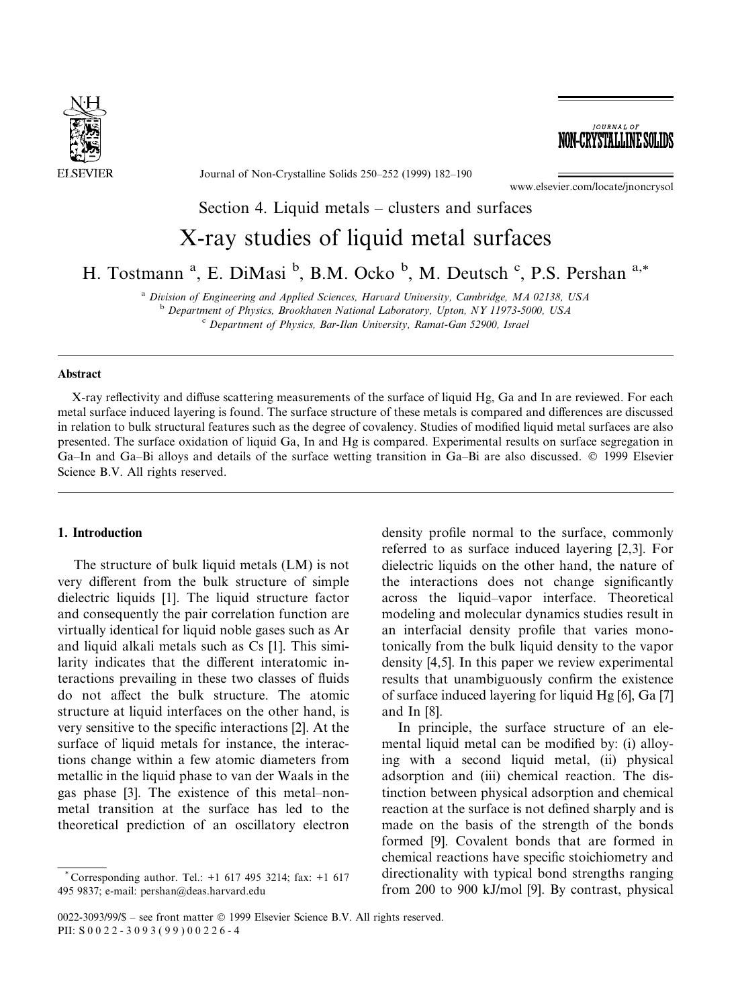

Journal of Non-Crystalline Solids 250-252 (1999) 182-190

www.elsevier.com/locate/jnoncrysol

**JOURNAL OF** NON-CRYSTALLINE SOLID

# Section 4. Liquid metals  $-\overline{\ }$  clusters and surfaces

# X-ray studies of liquid metal surfaces

H. Tostmann<sup>a</sup>, E. DiMasi <sup>b</sup>, B.M. Ocko <sup>b</sup>, M. Deutsch <sup>c</sup>, P.S. Pershan<sup>a,\*</sup>

<sup>a</sup> Division of Engineering and Applied Sciences, Harvard University, Cambridge, MA 02138, USA<br><sup>b</sup> Department of Physics, Brookhaven National Laboratory, Upton, NY 11973-5000, USA<br><sup>c</sup> Department of Physics, Bar-Ilan Unive

# Abstract

X-ray reflectivity and diffuse scattering measurements of the surface of liquid Hg, Ga and In are reviewed. For each metal surface induced layering is found. The surface structure of these metals is compared and differences are discussed in relation to bulk structural features such as the degree of covalency. Studies of modified liquid metal surfaces are also presented. The surface oxidation of liquid Ga, In and Hg is compared. Experimental results on surface segregation in Ga–In and Ga–Bi alloys and details of the surface wetting transition in Ga–Bi are also discussed. © 1999 Elsevier Science B.V. All rights reserved.

# 1. Introduction

The structure of bulk liquid metals (LM) is not very different from the bulk structure of simple dielectric liquids [1]. The liquid structure factor and consequently the pair correlation function are virtually identical for liquid noble gases such as Ar and liquid alkali metals such as Cs [1]. This similarity indicates that the different interatomic interactions prevailing in these two classes of fluids do not affect the bulk structure. The atomic structure at liquid interfaces on the other hand, is very sensitive to the specific interactions [2]. At the surface of liquid metals for instance, the interactions change within a few atomic diameters from metallic in the liquid phase to van der Waals in the gas phase [3]. The existence of this metal-nonmetal transition at the surface has led to the theoretical prediction of an oscillatory electron

\* Corresponding author. Tel.: +1 617 495 3214; fax: +1 617 495 9837; e-mail: pershan@deas.harvard.edu

density profile normal to the surface, commonly referred to as surface induced layering [2,3]. For dielectric liquids on the other hand, the nature of the interactions does not change significantly across the liquid–vapor interface. Theoretical modeling and molecular dynamics studies result in an interfacial density profile that varies monotonically from the bulk liquid density to the vapor density [4,5]. In this paper we review experimental results that unambiguously confirm the existence of surface induced layering for liquid Hg [6], Ga [7] and In [8].

In principle, the surface structure of an elemental liquid metal can be modified by: (i) alloying with a second liquid metal, (ii) physical adsorption and (iii) chemical reaction. The distinction between physical adsorption and chemical reaction at the surface is not defined sharply and is made on the basis of the strength of the bonds formed [9]. Covalent bonds that are formed in chemical reactions have specific stoichiometry and directionality with typical bond strengths ranging from 200 to 900 kJ/mol [9]. By contrast, physical

 $0022-3093/99/$ \$ – see front matter © 1999 Elsevier Science B.V. All rights reserved. PII: S 0 0 2 2 - 3 0 9 3 ( 9 9 ) 0 0 2 2 6 - 4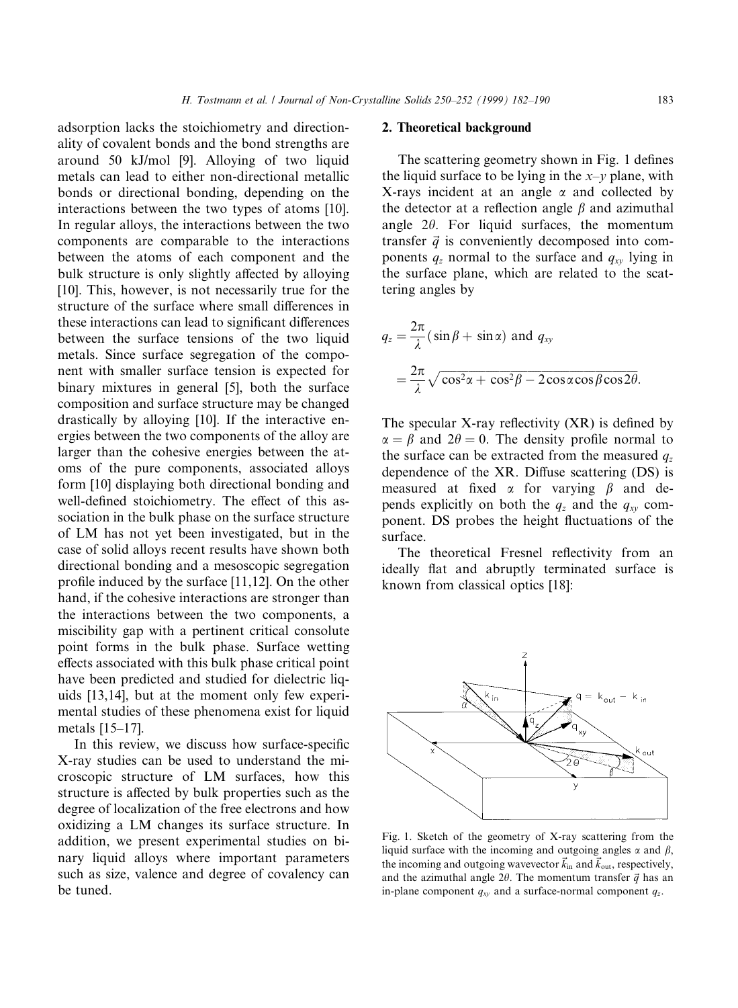adsorption lacks the stoichiometry and directionality of covalent bonds and the bond strengths are around 50 kJ/mol [9]. Alloying of two liquid metals can lead to either non-directional metallic bonds or directional bonding, depending on the interactions between the two types of atoms [10]. In regular alloys, the interactions between the two components are comparable to the interactions between the atoms of each component and the bulk structure is only slightly affected by alloying [10]. This, however, is not necessarily true for the structure of the surface where small differences in these interactions can lead to significant differences between the surface tensions of the two liquid metals. Since surface segregation of the component with smaller surface tension is expected for binary mixtures in general [5], both the surface composition and surface structure may be changed drastically by alloying [10]. If the interactive energies between the two components of the alloy are larger than the cohesive energies between the atoms of the pure components, associated alloys form [10] displaying both directional bonding and well-defined stoichiometry. The effect of this association in the bulk phase on the surface structure of LM has not yet been investigated, but in the case of solid alloys recent results have shown both directional bonding and a mesoscopic segregation profile induced by the surface  $[11,12]$ . On the other hand, if the cohesive interactions are stronger than the interactions between the two components, a miscibility gap with a pertinent critical consolute point forms in the bulk phase. Surface wetting effects associated with this bulk phase critical point have been predicted and studied for dielectric liquids [13,14], but at the moment only few experimental studies of these phenomena exist for liquid metals  $[15-17]$ .

In this review, we discuss how surface-specific X-ray studies can be used to understand the microscopic structure of LM surfaces, how this structure is affected by bulk properties such as the degree of localization of the free electrons and how oxidizing a LM changes its surface structure. In addition, we present experimental studies on binary liquid alloys where important parameters such as size, valence and degree of covalency can be tuned.

## 2. Theoretical background

The scattering geometry shown in Fig. 1 defines the liquid surface to be lying in the  $x-y$  plane, with X-rays incident at an angle  $\alpha$  and collected by the detector at a reflection angle  $\beta$  and azimuthal angle  $2\theta$ . For liquid surfaces, the momentum transfer  $\vec{q}$  is conveniently decomposed into components  $q_z$  normal to the surface and  $q_{xy}$  lying in the surface plane, which are related to the scattering angles by

$$
q_z = \frac{2\pi}{\lambda} (\sin \beta + \sin \alpha) \text{ and } q_{xy}
$$
  
=  $\frac{2\pi}{\lambda} \sqrt{\cos^2 \alpha + \cos^2 \beta - 2 \cos \alpha \cos \beta \cos 2\theta}.$ 

The specular X-ray reflectivity  $(XR)$  is defined by  $\alpha = \beta$  and  $2\theta = 0$ . The density profile normal to the surface can be extracted from the measured  $q_z$ dependence of the  $XR$ . Diffuse scattering  $(DS)$  is measured at fixed  $\alpha$  for varying  $\beta$  and depends explicitly on both the  $q_z$  and the  $q_{xy}$  component. DS probes the height fluctuations of the surface.

The theoretical Fresnel reflectivity from an ideally flat and abruptly terminated surface is known from classical optics [18]:



Fig. 1. Sketch of the geometry of X-ray scattering from the liquid surface with the incoming and outgoing angles  $\alpha$  and  $\beta$ , the incoming and outgoing wavevector  $\vec{k}_{in}$  and  $\vec{k}_{out}$ , respectively, and the azimuthal angle  $2\theta$ . The momentum transfer  $\vec{q}$  has an in-plane component  $q_{xy}$  and a surface-normal component  $q_z$ .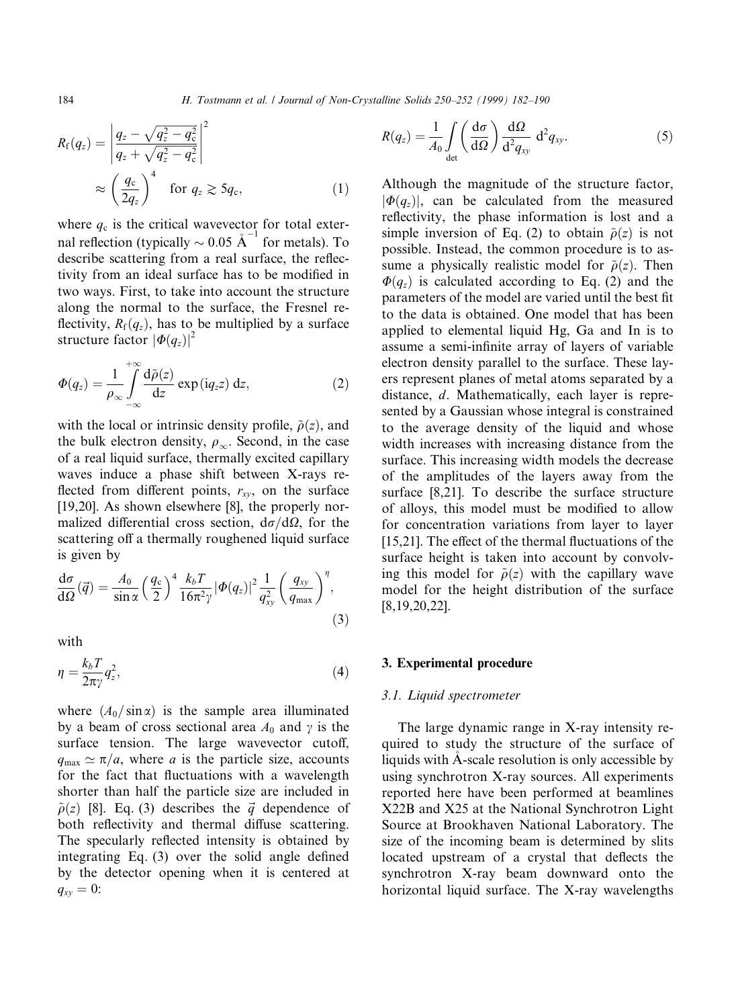$$
R_{\rm f}(q_z) = \left| \frac{q_z - \sqrt{q_z^2 - q_{\rm c}^2}}{q_z + \sqrt{q_z^2 - q_{\rm c}^2}} \right|^2
$$
  
 
$$
\approx \left( \frac{q_{\rm c}}{2q_z} \right)^4 \quad \text{for } q_z \geq 5q_{\rm c}, \tag{1}
$$

where  $q_c$  is the critical wavevector for total external reflection (typically  $\sim 0.05 \text{ A}^{-1}$  for metals). To describe scattering from a real surface, the reflectivity from an ideal surface has to be modified in two ways. First, to take into account the structure along the normal to the surface, the Fresnel re flectivity,  $R_f(q_z)$ , has to be multiplied by a surface structure factor  $|\Phi(q_z)|^2$ 

$$
\Phi(q_z) = \frac{1}{\rho_{\infty}} \int_{-\infty}^{+\infty} \frac{d\tilde{\rho}(z)}{dz} \exp(iq_z z) dz,
$$
\n(2)

with the local or intrinsic density profile,  $\tilde{\rho}(z)$ , and the bulk electron density,  $\rho_{\infty}$ . Second, in the case of a real liquid surface, thermally excited capillary waves induce a phase shift between X-rays re flected from different points,  $r_{xy}$ , on the surface [19,20]. As shown elsewhere [8], the properly normalized differential cross section,  $d\sigma/d\Omega$ , for the scattering off a thermally roughened liquid surface is given by

$$
\frac{d\sigma}{d\Omega}(\vec{q}) = \frac{A_0}{\sin\alpha} \left(\frac{q_c}{2}\right)^4 \frac{k_b T}{16\pi^2 \gamma} |\Phi(q_z)|^2 \frac{1}{q_{xy}^2} \left(\frac{q_{xy}}{q_{\text{max}}}\right)^{\eta},\tag{3}
$$

with

$$
\eta = \frac{k_b T}{2\pi \gamma} q_z^2,\tag{4}
$$

where  $(A_0/\sin \alpha)$  is the sample area illuminated by a beam of cross sectional area  $A_0$  and  $\gamma$  is the surface tension. The large wavevector cutoff,  $q_{\text{max}} \simeq \pi/a$ , where a is the particle size, accounts for the fact that fluctuations with a wavelength shorter than half the particle size are included in  $\tilde{\rho}(z)$  [8]. Eq. (3) describes the  $\vec{q}$  dependence of both reflectivity and thermal diffuse scattering. The specularly reflected intensity is obtained by integrating Eq.  $(3)$  over the solid angle defined by the detector opening when it is centered at  $q_{xy} = 0$ :

$$
R(q_z) = \frac{1}{A_0} \int\limits_{\text{det}} \left( \frac{d\sigma}{d\Omega} \right) \frac{d\Omega}{d^2 q_{xy}} d^2 q_{xy}.
$$
 (5)

Although the magnitude of the structure factor,  $|\Phi(q_z)|$ , can be calculated from the measured reflectivity, the phase information is lost and a simple inversion of Eq. (2) to obtain  $\tilde{\rho}(z)$  is not possible. Instead, the common procedure is to assume a physically realistic model for  $\tilde{\rho}(z)$ . Then  $\Phi(q_z)$  is calculated according to Eq. (2) and the parameters of the model are varied until the best fit to the data is obtained. One model that has been applied to elemental liquid Hg, Ga and In is to assume a semi-infinite array of layers of variable electron density parallel to the surface. These layers represent planes of metal atoms separated by a distance, d. Mathematically, each layer is represented by a Gaussian whose integral is constrained to the average density of the liquid and whose width increases with increasing distance from the surface. This increasing width models the decrease of the amplitudes of the layers away from the surface [8,21]. To describe the surface structure of alloys, this model must be modified to allow for concentration variations from layer to layer  $[15,21]$ . The effect of the thermal fluctuations of the surface height is taken into account by convolving this model for  $\tilde{\rho}(z)$  with the capillary wave model for the height distribution of the surface [8,19,20,22].

#### 3. Experimental procedure

#### 3.1. Liquid spectrometer

The large dynamic range in X-ray intensity required to study the structure of the surface of liquids with A-scale resolution is only accessible by using synchrotron X-ray sources. All experiments reported here have been performed at beamlines X22B and X25 at the National Synchrotron Light Source at Brookhaven National Laboratory. The size of the incoming beam is determined by slits located upstream of a crystal that deflects the synchrotron X-ray beam downward onto the horizontal liquid surface. The X-ray wavelengths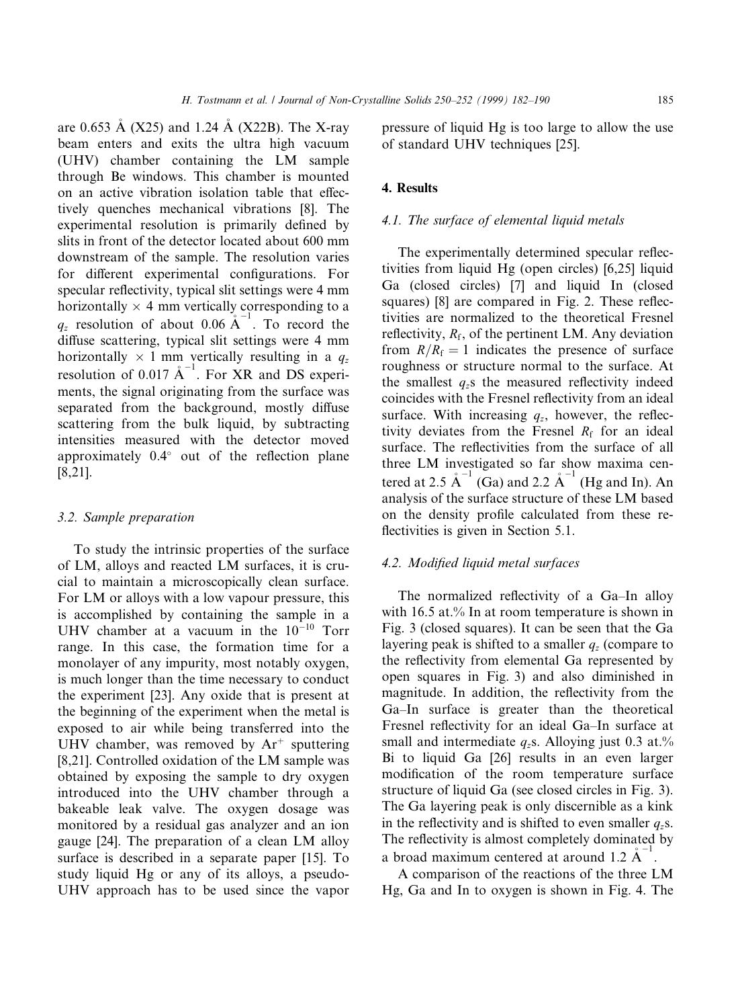are 0.653 Å (X25) and 1.24 Å (X22B). The X-ray beam enters and exits the ultra high vacuum (UHV) chamber containing the LM sample through Be windows. This chamber is mounted on an active vibration isolation table that effectively quenches mechanical vibrations [8]. The experimental resolution is primarily defined by slits in front of the detector located about 600 mm downstream of the sample. The resolution varies for different experimental configurations. For specular reflectivity, typical slit settings were 4 mm horizontally  $\times$  4 mm vertically corresponding to a  $q_z$  resolution of about 0.06  $\mathring{A}^{-1}$ . To record the diffuse scattering, typical slit settings were 4 mm horizontally  $\times$  1 mm vertically resulting in a  $q_z$ resolution of 0.017  $\mathring{A}^{-1}$ . For XR and DS experiments, the signal originating from the surface was separated from the background, mostly diffuse scattering from the bulk liquid, by subtracting intensities measured with the detector moved approximately  $0.4^{\circ}$  out of the reflection plane [8,21].

## 3.2. Sample preparation

To study the intrinsic properties of the surface of LM, alloys and reacted LM surfaces, it is crucial to maintain a microscopically clean surface. For LM or alloys with a low vapour pressure, this is accomplished by containing the sample in a UHV chamber at a vacuum in the  $10^{-10}$  Torr range. In this case, the formation time for a monolayer of any impurity, most notably oxygen, is much longer than the time necessary to conduct the experiment [23]. Any oxide that is present at the beginning of the experiment when the metal is exposed to air while being transferred into the UHV chamber, was removed by  $Ar^+$  sputtering [8,21]. Controlled oxidation of the LM sample was obtained by exposing the sample to dry oxygen introduced into the UHV chamber through a bakeable leak valve. The oxygen dosage was monitored by a residual gas analyzer and an ion gauge [24]. The preparation of a clean LM alloy surface is described in a separate paper [15]. To study liquid Hg or any of its alloys, a pseudo-UHV approach has to be used since the vapor pressure of liquid Hg is too large to allow the use of standard UHV techniques [25].

#### 4. Results

#### 4.1. The surface of elemental liquid metals

The experimentally determined specular reflectivities from liquid Hg (open circles) [6,25] liquid Ga (closed circles) [7] and liquid In (closed squares)  $[8]$  are compared in Fig. 2. These reflectivities are normalized to the theoretical Fresnel reflectivity,  $R_f$ , of the pertinent LM. Any deviation from  $R/R_f = 1$  indicates the presence of surface roughness or structure normal to the surface. At the smallest  $q_z$ s the measured reflectivity indeed coincides with the Fresnel reflectivity from an ideal surface. With increasing  $q_z$ , however, the reflectivity deviates from the Fresnel  $R_f$  for an ideal surface. The reflectivities from the surface of all three LM investigated so far show maxima centered at 2.5  $\mathring{A}^{-1}$  (Ga) and 2.2  $\mathring{A}^{-1}$  (Hg and In). An analysis of the surface structure of these LM based on the density profile calculated from these reflectivities is given in Section 5.1.

#### 4.2. Modified liquid metal surfaces

The normalized reflectivity of a Ga-In alloy with 16.5 at.% In at room temperature is shown in Fig. 3 (closed squares). It can be seen that the Ga layering peak is shifted to a smaller  $q_z$  (compare to the reflectivity from elemental Ga represented by open squares in Fig. 3) and also diminished in magnitude. In addition, the reflectivity from the Ga-In surface is greater than the theoretical Fresnel reflectivity for an ideal Ga-In surface at small and intermediate  $q_z$ s. Alloying just 0.3 at.% Bi to liquid Ga [26] results in an even larger modification of the room temperature surface structure of liquid Ga (see closed circles in Fig. 3). The Ga layering peak is only discernible as a kink in the reflectivity and is shifted to even smaller  $q_z$ s. The reflectivity is almost completely dominated by a broad maximum centered at around 1.2  $A^{-1}$ .

A comparison of the reactions of the three LM Hg, Ga and In to oxygen is shown in Fig. 4. The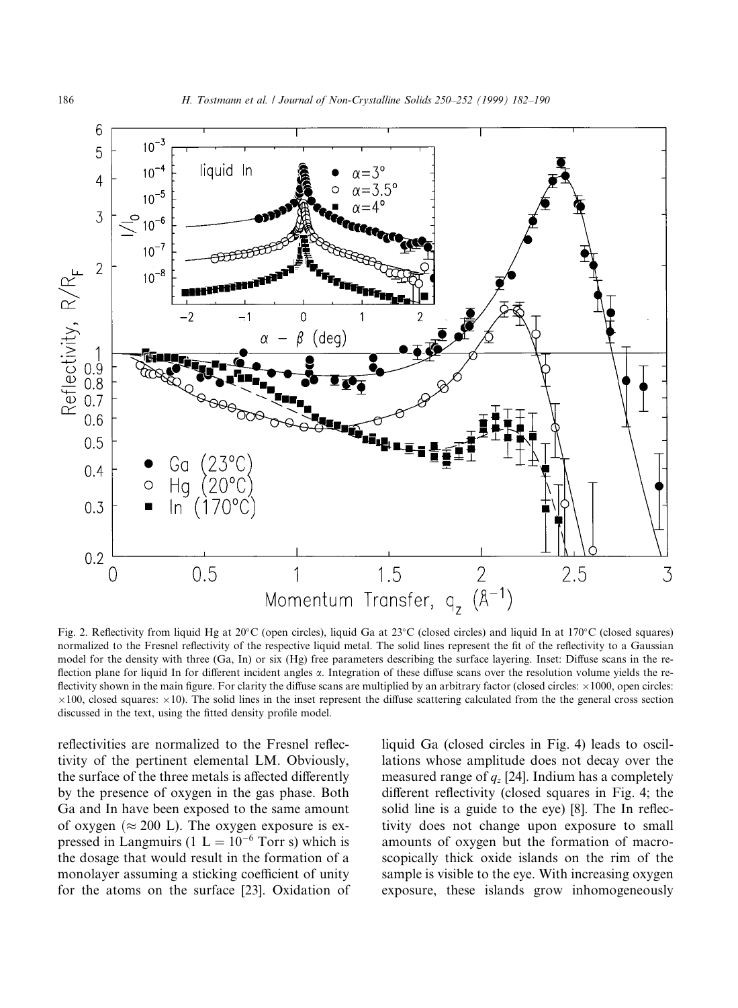

Fig. 2. Reflectivity from liquid Hg at  $20^{\circ}$ C (open circles), liquid Ga at  $23^{\circ}$ C (closed circles) and liquid In at 170°C (closed squares) normalized to the Fresnel reflectivity of the respective liquid metal. The solid lines represent the fit of the reflectivity to a Gaussian model for the density with three (Ga, In) or six (Hg) free parameters describing the surface layering. Inset: Diffuse scans in the reflection plane for liquid In for different incident angles  $\alpha$ . Integration of these diffuse scans over the resolution volume yields the reflectivity shown in the main figure. For clarity the diffuse scans are multiplied by an arbitrary factor (closed circles:  $\times 1000$ , open circles:  $\times$ 100, closed squares:  $\times$ 10). The solid lines in the inset represent the diffuse scattering calculated from the the general cross section discussed in the text, using the fitted density profile model.

reflectivities are normalized to the Fresnel reflectivity of the pertinent elemental LM. Obviously, the surface of the three metals is affected differently by the presence of oxygen in the gas phase. Both Ga and In have been exposed to the same amount of oxygen  $(\approx 200 \text{ L})$ . The oxygen exposure is expressed in Langmuirs (1  $L = 10^{-6}$  Torr s) which is the dosage that would result in the formation of a monolayer assuming a sticking coefficient of unity for the atoms on the surface [23]. Oxidation of liquid Ga (closed circles in Fig. 4) leads to oscillations whose amplitude does not decay over the measured range of  $q_z$  [24]. Indium has a completely different reflectivity (closed squares in Fig. 4; the solid line is a guide to the eye) [8]. The In reflectivity does not change upon exposure to small amounts of oxygen but the formation of macroscopically thick oxide islands on the rim of the sample is visible to the eye. With increasing oxygen exposure, these islands grow inhomogeneously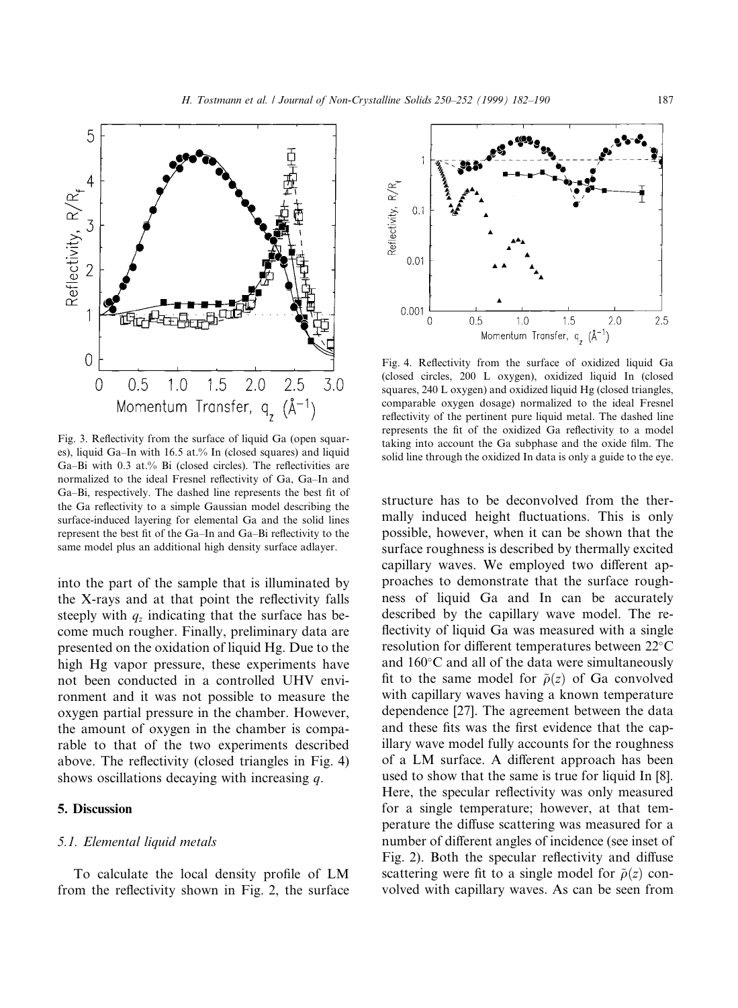

Fig. 3. Reflectivity from the surface of liquid Ga (open squares), liquid Ga-In with  $16.5$  at.% In (closed squares) and liquid Ga $-Bi$  with 0.3 at.% Bi (closed circles). The reflectivities are normalized to the ideal Fresnel reflectivity of Ga, Ga-In and Ga-Bi, respectively. The dashed line represents the best fit of the Ga reflectivity to a simple Gaussian model describing the surface-induced layering for elemental Ga and the solid lines represent the best fit of the Ga-In and Ga-Bi reflectivity to the same model plus an additional high density surface adlayer.

into the part of the sample that is illuminated by the X-rays and at that point the reflectivity falls steeply with  $q_z$  indicating that the surface has become much rougher. Finally, preliminary data are presented on the oxidation of liquid Hg. Due to the high Hg vapor pressure, these experiments have not been conducted in a controlled UHV environment and it was not possible to measure the oxygen partial pressure in the chamber. However, the amount of oxygen in the chamber is comparable to that of the two experiments described above. The reflectivity (closed triangles in Fig. 4) shows oscillations decaying with increasing q.

# 5. Discussion

## 5.1. Elemental liquid metals

To calculate the local density profile of LM from the reflectivity shown in Fig. 2, the surface



Fig. 4. Reflectivity from the surface of oxidized liquid Ga (closed circles, 200 L oxygen), oxidized liquid In (closed squares, 240 L oxygen) and oxidized liquid Hg (closed triangles, comparable oxygen dosage) normalized to the ideal Fresnel reflectivity of the pertinent pure liquid metal. The dashed line represents the fit of the oxidized Ga reflectivity to a model taking into account the Ga subphase and the oxide film. The solid line through the oxidized In data is only a guide to the eye.

structure has to be deconvolved from the thermally induced height fluctuations. This is only possible, however, when it can be shown that the surface roughness is described by thermally excited capillary waves. We employed two different approaches to demonstrate that the surface roughness of liquid Ga and In can be accurately described by the capillary wave model. The re flectivity of liquid Ga was measured with a single resolution for different temperatures between  $22^{\circ}$ C and  $160^{\circ}$ C and all of the data were simultaneously fit to the same model for  $\tilde{\rho}(z)$  of Ga convolved with capillary waves having a known temperature dependence [27]. The agreement between the data and these fits was the first evidence that the capillary wave model fully accounts for the roughness of a LM surface. A different approach has been used to show that the same is true for liquid In [8]. Here, the specular reflectivity was only measured for a single temperature; however, at that temperature the diffuse scattering was measured for a number of different angles of incidence (see inset of Fig. 2). Both the specular reflectivity and diffuse scattering were fit to a single model for  $\tilde{\rho}(z)$  convolved with capillary waves. As can be seen from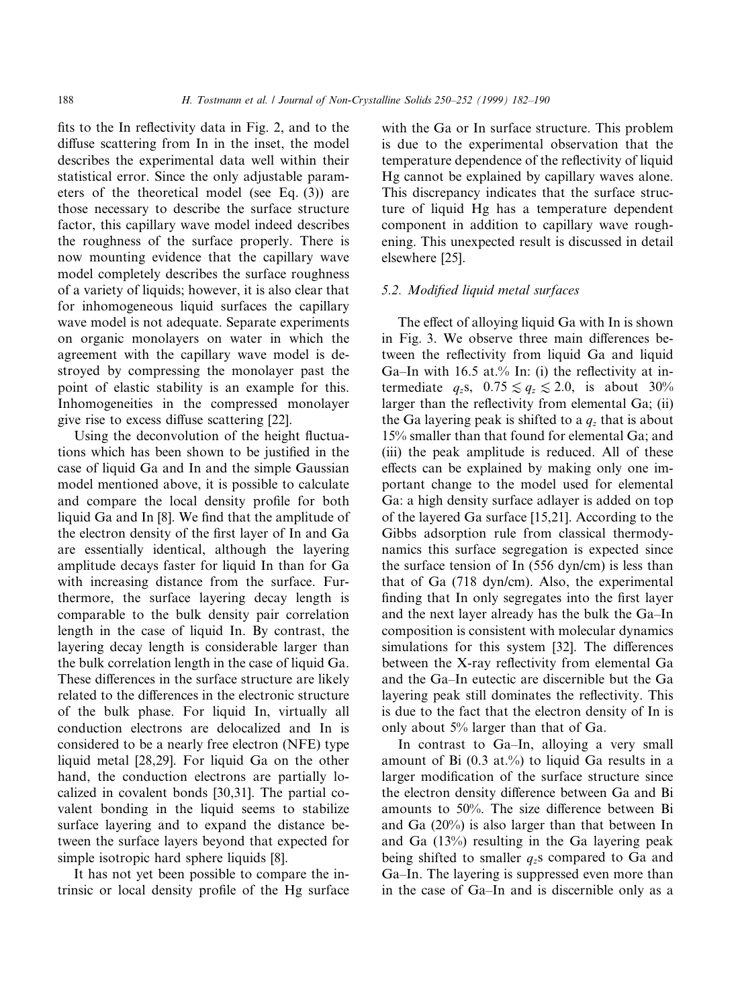fits to the In reflectivity data in Fig. 2, and to the diffuse scattering from In in the inset, the model describes the experimental data well within their statistical error. Since the only adjustable parameters of the theoretical model (see Eq. (3)) are those necessary to describe the surface structure factor, this capillary wave model indeed describes the roughness of the surface properly. There is now mounting evidence that the capillary wave model completely describes the surface roughness of a variety of liquids; however, it is also clear that for inhomogeneous liquid surfaces the capillary wave model is not adequate. Separate experiments on organic monolayers on water in which the agreement with the capillary wave model is destroyed by compressing the monolayer past the point of elastic stability is an example for this. Inhomogeneities in the compressed monolayer give rise to excess diffuse scattering [22].

Using the deconvolution of the height fluctuations which has been shown to be justified in the case of liquid Ga and In and the simple Gaussian model mentioned above, it is possible to calculate and compare the local density profile for both liquid Ga and In [8]. We find that the amplitude of the electron density of the first layer of In and Ga are essentially identical, although the layering amplitude decays faster for liquid In than for Ga with increasing distance from the surface. Furthermore, the surface layering decay length is comparable to the bulk density pair correlation length in the case of liquid In. By contrast, the layering decay length is considerable larger than the bulk correlation length in the case of liquid Ga. These differences in the surface structure are likely related to the differences in the electronic structure of the bulk phase. For liquid In, virtually all conduction electrons are delocalized and In is considered to be a nearly free electron (NFE) type liquid metal [28,29]. For liquid Ga on the other hand, the conduction electrons are partially localized in covalent bonds [30,31]. The partial covalent bonding in the liquid seems to stabilize surface layering and to expand the distance between the surface layers beyond that expected for simple isotropic hard sphere liquids [8].

It has not yet been possible to compare the intrinsic or local density profile of the Hg surface with the Ga or In surface structure. This problem is due to the experimental observation that the temperature dependence of the reflectivity of liquid Hg cannot be explained by capillary waves alone. This discrepancy indicates that the surface structure of liquid Hg has a temperature dependent component in addition to capillary wave roughening. This unexpected result is discussed in detail elsewhere [25].

# 5.2. Modified liquid metal surfaces

The effect of alloying liquid Ga with In is shown in Fig. 3. We observe three main differences between the reflectivity from liquid Ga and liquid Ga–In with 16.5 at.% In: (i) the reflectivity at intermediate  $q_z$ s,  $0.75 \le q_z \le 2.0$ , is about 30% larger than the reflectivity from elemental Ga; (ii) the Ga layering peak is shifted to a  $q_z$  that is about 15% smaller than that found for elemental Ga; and (iii) the peak amplitude is reduced. All of these effects can be explained by making only one important change to the model used for elemental Ga: a high density surface adlayer is added on top of the layered Ga surface [15,21]. According to the Gibbs adsorption rule from classical thermodynamics this surface segregation is expected since the surface tension of In (556 dyn/cm) is less than that of Ga (718 dyn/cm). Also, the experimental finding that In only segregates into the first layer and the next layer already has the bulk the Ga-In composition is consistent with molecular dynamics simulations for this system [32]. The differences between the X-ray reflectivity from elemental Ga and the Ga–In eutectic are discernible but the Ga layering peak still dominates the reflectivity. This is due to the fact that the electron density of In is only about 5% larger than that of Ga.

In contrast to Ga-In, alloying a very small amount of Bi  $(0.3 \text{ at.})$ % to liquid Ga results in a larger modification of the surface structure since the electron density difference between Ga and Bi amounts to  $50\%$ . The size difference between Bi and Ga (20%) is also larger than that between In and Ga (13%) resulting in the Ga layering peak being shifted to smaller  $q_z$ s compared to Ga and Ga–In. The layering is suppressed even more than in the case of Ga–In and is discernible only as a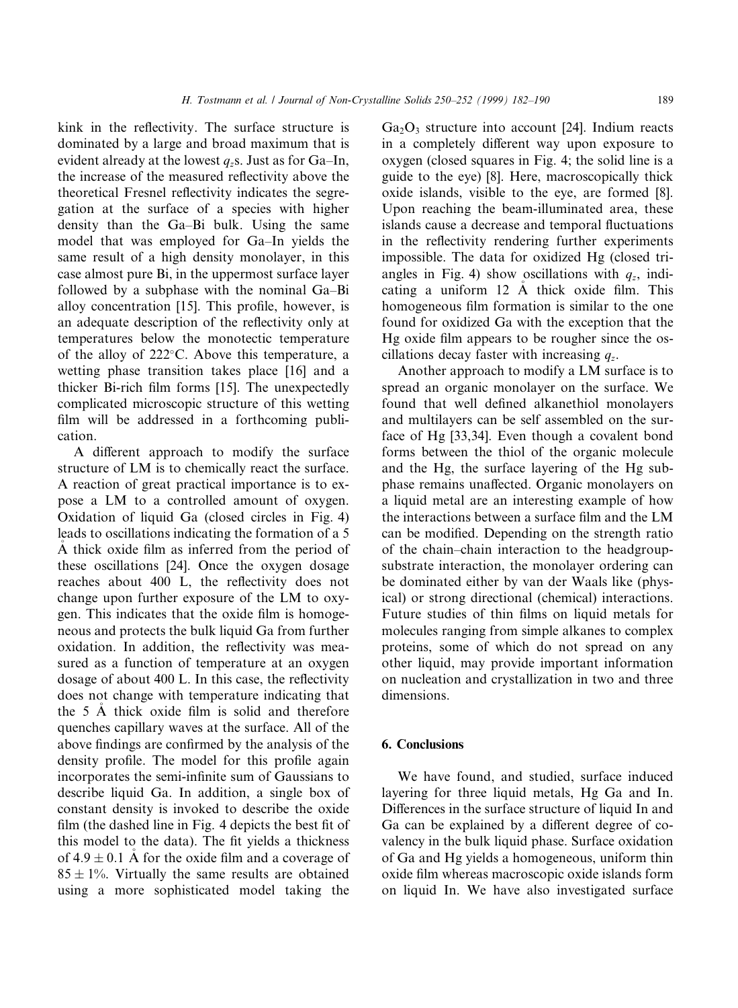kink in the reflectivity. The surface structure is dominated by a large and broad maximum that is evident already at the lowest  $q_z$ s. Just as for Ga-In, the increase of the measured reflectivity above the theoretical Fresnel reflectivity indicates the segregation at the surface of a species with higher density than the Ga–Bi bulk. Using the same model that was employed for Ga-In yields the same result of a high density monolayer, in this case almost pure Bi, in the uppermost surface layer followed by a subphase with the nominal Ga-Bi alloy concentration  $[15]$ . This profile, however, is an adequate description of the reflectivity only at temperatures below the monotectic temperature of the alloy of  $222^{\circ}$ C. Above this temperature, a wetting phase transition takes place [16] and a thicker Bi-rich film forms [15]. The unexpectedly complicated microscopic structure of this wetting film will be addressed in a forthcoming publication.

A different approach to modify the surface structure of LM is to chemically react the surface. A reaction of great practical importance is to expose a LM to a controlled amount of oxygen. Oxidation of liquid Ga (closed circles in Fig. 4) leads to oscillations indicating the formation of a 5 A thick oxide film as inferred from the period of these oscillations [24]. Once the oxygen dosage reaches about 400 L, the reflectivity does not change upon further exposure of the LM to oxygen. This indicates that the oxide film is homogeneous and protects the bulk liquid Ga from further oxidation. In addition, the reflectivity was measured as a function of temperature at an oxygen dosage of about  $400$  L. In this case, the reflectivity does not change with temperature indicating that the  $5$  Å thick oxide film is solid and therefore quenches capillary waves at the surface. All of the above findings are confirmed by the analysis of the density profile. The model for this profile again incorporates the semi-infinite sum of Gaussians to describe liquid Ga. In addition, a single box of constant density is invoked to describe the oxide  $film$  (the dashed line in Fig. 4 depicts the best fit of this model to the data). The fit yields a thickness of  $4.9 \pm 0.1$  Å for the oxide film and a coverage of  $85 \pm 1\%$ . Virtually the same results are obtained using a more sophisticated model taking the  $Ga<sub>2</sub>O<sub>3</sub>$  structure into account [24]. Indium reacts in a completely different way upon exposure to oxygen (closed squares in Fig. 4; the solid line is a guide to the eye) [8]. Here, macroscopically thick oxide islands, visible to the eye, are formed [8]. Upon reaching the beam-illuminated area, these islands cause a decrease and temporal fluctuations in the reflectivity rendering further experiments impossible. The data for oxidized Hg (closed triangles in Fig. 4) show oscillations with  $q_z$ , indicating a uniform  $12$  Å thick oxide film. This homogeneous film formation is similar to the one found for oxidized Ga with the exception that the Hg oxide film appears to be rougher since the oscillations decay faster with increasing  $q_z$ .

Another approach to modify a LM surface is to spread an organic monolayer on the surface. We found that well defined alkanethiol monolayers and multilayers can be self assembled on the surface of Hg [33,34]. Even though a covalent bond forms between the thiol of the organic molecule and the Hg, the surface layering of the Hg subphase remains unaffected. Organic monolayers on a liquid metal are an interesting example of how the interactions between a surface film and the LM can be modified. Depending on the strength ratio of the chain-chain interaction to the headgroupsubstrate interaction, the monolayer ordering can be dominated either by van der Waals like (physical) or strong directional (chemical) interactions. Future studies of thin films on liquid metals for molecules ranging from simple alkanes to complex proteins, some of which do not spread on any other liquid, may provide important information on nucleation and crystallization in two and three dimensions.

## 6. Conclusions

We have found, and studied, surface induced layering for three liquid metals, Hg Ga and In. Differences in the surface structure of liquid In and Ga can be explained by a different degree of covalency in the bulk liquid phase. Surface oxidation of Ga and Hg yields a homogeneous, uniform thin oxide film whereas macroscopic oxide islands form on liquid In. We have also investigated surface